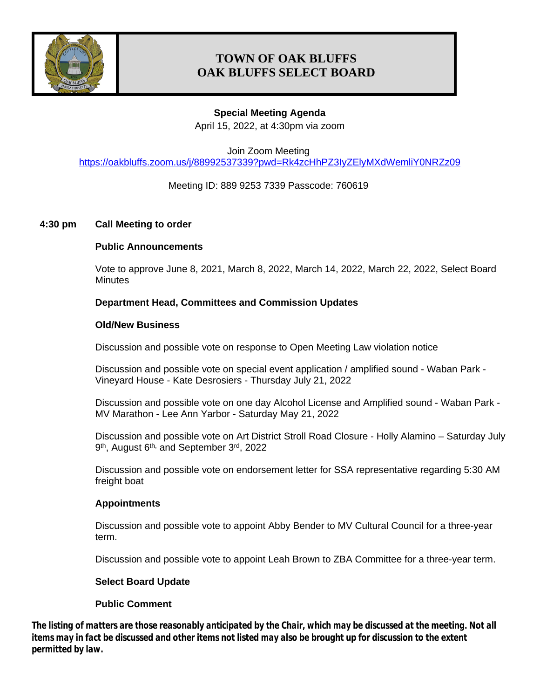

# **TOWN OF OAK BLUFFS OAK BLUFFS SELECT BOARD**

## **Special Meeting Agenda**

April 15, 2022, at 4:30pm via zoom

Join Zoom Meeting <https://oakbluffs.zoom.us/j/88992537339?pwd=Rk4zcHhPZ3IyZElyMXdWemliY0NRZz09>

## Meeting ID: 889 9253 7339 Passcode: 760619

## **4:30 pm Call Meeting to order**

## **Public Announcements**

Vote to approve June 8, 2021, March 8, 2022, March 14, 2022, March 22, 2022, Select Board **Minutes** 

## **Department Head, Committees and Commission Updates**

#### **Old/New Business**

Discussion and possible vote on response to Open Meeting Law violation notice

Discussion and possible vote on special event application / amplified sound - Waban Park - Vineyard House - Kate Desrosiers - Thursday July 21, 2022

Discussion and possible vote on one day Alcohol License and Amplified sound - Waban Park - MV Marathon - Lee Ann Yarbor - Saturday May 21, 2022

Discussion and possible vote on Art District Stroll Road Closure - Holly Alamino – Saturday July 9<sup>th</sup>, August 6<sup>th,</sup> and September 3<sup>rd</sup>, 2022

Discussion and possible vote on endorsement letter for SSA representative regarding 5:30 AM freight boat

#### **Appointments**

Discussion and possible vote to appoint Abby Bender to MV Cultural Council for a three-year term.

Discussion and possible vote to appoint Leah Brown to ZBA Committee for a three-year term.

#### **Select Board Update**

#### **Public Comment**

*The listing of matters are those reasonably anticipated by the Chair, which may be discussed at the meeting. Not all items may in fact be discussed and other items not listed may also be brought up for discussion to the extent permitted by law.*